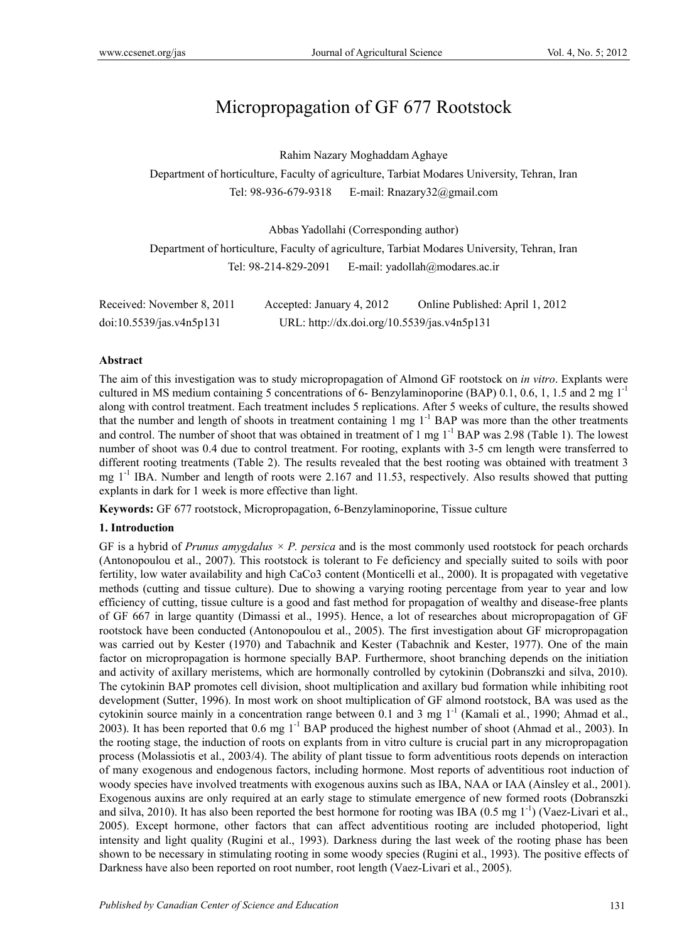# Micropropagation of GF 677 Rootstock

Rahim Nazary Moghaddam Aghaye

Department of horticulture, Faculty of agriculture, Tarbiat Modares University, Tehran, Iran Tel: 98-936-679-9318 E-mail: Rnazary32@gmail.com

Abbas Yadollahi (Corresponding author)

Department of horticulture, Faculty of agriculture, Tarbiat Modares University, Tehran, Iran Tel: 98-214-829-2091 E-mail: yadollah@modares.ac.ir

| Received: November 8, 2011 | Accepted: January 4, 2012                   | Online Published: April 1, 2012 |
|----------------------------|---------------------------------------------|---------------------------------|
| doi:10.5539/jas.v4n5p131   | URL: http://dx.doi.org/10.5539/jas.v4n5p131 |                                 |

#### **Abstract**

The aim of this investigation was to study micropropagation of Almond GF rootstock on *in vitro*. Explants were cultured in MS medium containing 5 concentrations of 6- Benzylaminoporine (BAP) 0.1, 0.6, 1, 1.5 and 2 mg  $1^{-1}$ along with control treatment. Each treatment includes 5 replications. After 5 weeks of culture, the results showed that the number and length of shoots in treatment containing 1 mg 1<sup>-1</sup> BAP was more than the other treatments and control. The number of shoot that was obtained in treatment of 1 mg  $1^{-1}$  BAP was 2.98 (Table 1). The lowest number of shoot was 0.4 due to control treatment. For rooting, explants with 3-5 cm length were transferred to different rooting treatments (Table 2). The results revealed that the best rooting was obtained with treatment 3 mg  $1<sup>-1</sup>$  IBA. Number and length of roots were 2.167 and 11.53, respectively. Also results showed that putting explants in dark for 1 week is more effective than light.

**Keywords:** GF 677 rootstock, Micropropagation, 6-Benzylaminoporine, Tissue culture

#### **1. Introduction**

GF is a hybrid of *Prunus amygdalus*  $\times$  *P. persica* and is the most commonly used rootstock for peach orchards (Antonopoulou et al., 2007). This rootstock is tolerant to Fe deficiency and specially suited to soils with poor fertility, low water availability and high CaCo3 content (Monticelli et al., 2000). It is propagated with vegetative methods (cutting and tissue culture). Due to showing a varying rooting percentage from year to year and low efficiency of cutting, tissue culture is a good and fast method for propagation of wealthy and disease-free plants of GF 667 in large quantity (Dimassi et al., 1995). Hence, a lot of researches about micropropagation of GF rootstock have been conducted (Antonopoulou et al., 2005). The first investigation about GF micropropagation was carried out by Kester (1970) and Tabachnik and Kester (Tabachnik and Kester, 1977). One of the main factor on micropropagation is hormone specially BAP. Furthermore, shoot branching depends on the initiation and activity of axillary meristems, which are hormonally controlled by cytokinin (Dobranszki and silva, 2010). The cytokinin BAP promotes cell division, shoot multiplication and axillary bud formation while inhibiting root development (Sutter, 1996). In most work on shoot multiplication of GF almond rootstock, BA was used as the cytokinin source mainly in a concentration range between 0.1 and 3 mg 1-1 (Kamali et al*.*, 1990; Ahmad et al., 2003). It has been reported that  $0.6 \text{ mg } 1^{-1}$  BAP produced the highest number of shoot (Ahmad et al., 2003). In the rooting stage, the induction of roots on explants from in vitro culture is crucial part in any micropropagation process (Molassiotis et al., 2003/4). The ability of plant tissue to form adventitious roots depends on interaction of many exogenous and endogenous factors, including hormone. Most reports of adventitious root induction of woody species have involved treatments with exogenous auxins such as IBA, NAA or IAA (Ainsley et al., 2001). Exogenous auxins are only required at an early stage to stimulate emergence of new formed roots (Dobranszki and silva, 2010). It has also been reported the best hormone for rooting was IBA (0.5 mg  $1^{-1}$ ) (Vaez-Livari et al., 2005). Except hormone, other factors that can affect adventitious rooting are included photoperiod, light intensity and light quality (Rugini et al., 1993). Darkness during the last week of the rooting phase has been shown to be necessary in stimulating rooting in some woody species (Rugini et al., 1993). The positive effects of Darkness have also been reported on root number, root length (Vaez-Livari et al., 2005).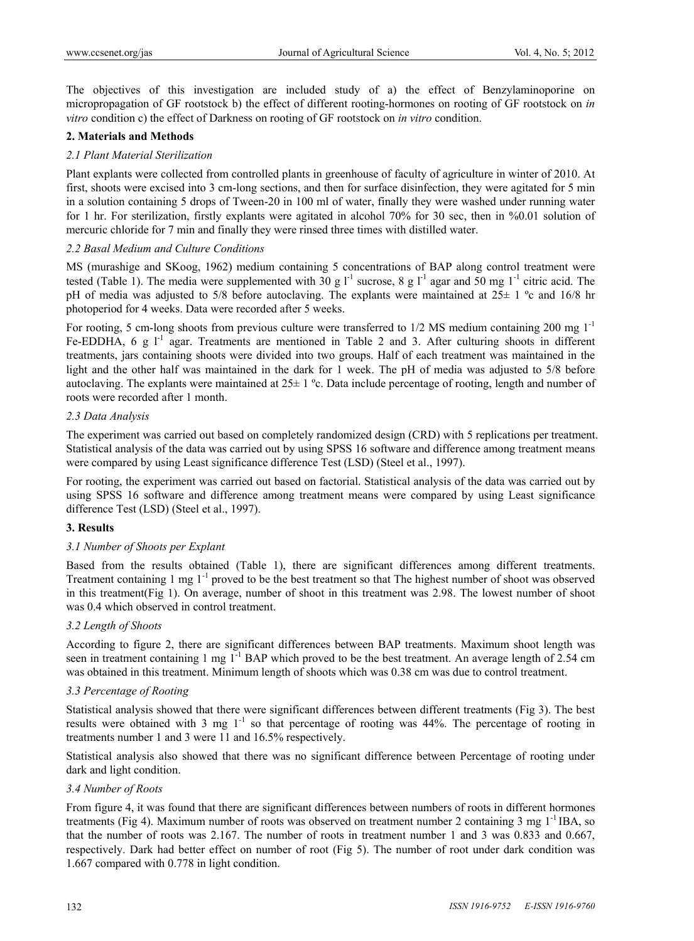The objectives of this investigation are included study of a) the effect of Benzylaminoporine on micropropagation of GF rootstock b) the effect of different rooting-hormones on rooting of GF rootstock on *in vitro* condition c) the effect of Darkness on rooting of GF rootstock on *in vitro* condition.

## **2. Materials and Methods**

## *2.1 Plant Material Sterilization*

Plant explants were collected from controlled plants in greenhouse of faculty of agriculture in winter of 2010. At first, shoots were excised into 3 cm-long sections, and then for surface disinfection, they were agitated for 5 min in a solution containing 5 drops of Tween-20 in 100 ml of water, finally they were washed under running water for 1 hr. For sterilization, firstly explants were agitated in alcohol 70% for 30 sec, then in %0.01 solution of mercuric chloride for 7 min and finally they were rinsed three times with distilled water.

#### *2.2 Basal Medium and Culture Conditions*

MS (murashige and SKoog, 1962) medium containing 5 concentrations of BAP along control treatment were tested (Table 1). The media were supplemented with 30 g  $1^{-1}$  sucrose, 8 g  $1^{-1}$  agar and 50 mg  $1^{-1}$  citric acid. The pH of media was adjusted to 5/8 before autoclaving. The explants were maintained at 25± 1 ºc and 16/8 hr photoperiod for 4 weeks. Data were recorded after 5 weeks.

For rooting, 5 cm-long shoots from previous culture were transferred to  $1/2$  MS medium containing 200 mg  $1^{-1}$ Fe-EDDHA,  $6 \text{ g } l^{-1}$  agar. Treatments are mentioned in Table 2 and 3. After culturing shoots in different treatments, jars containing shoots were divided into two groups. Half of each treatment was maintained in the light and the other half was maintained in the dark for 1 week. The pH of media was adjusted to 5/8 before autoclaving. The explants were maintained at 25± 1 ºc. Data include percentage of rooting, length and number of roots were recorded after 1 month.

## *2.3 Data Analysis*

The experiment was carried out based on completely randomized design (CRD) with 5 replications per treatment. Statistical analysis of the data was carried out by using SPSS 16 software and difference among treatment means were compared by using Least significance difference Test (LSD) (Steel et al., 1997).

For rooting, the experiment was carried out based on factorial. Statistical analysis of the data was carried out by using SPSS 16 software and difference among treatment means were compared by using Least significance difference Test (LSD) (Steel et al., 1997).

# **3. Results**

#### *3.1 Number of Shoots per Explant*

Based from the results obtained (Table 1), there are significant differences among different treatments. Treatment containing 1 mg  $1^{-1}$  proved to be the best treatment so that The highest number of shoot was observed in this treatment(Fig 1). On average, number of shoot in this treatment was 2.98. The lowest number of shoot was 0.4 which observed in control treatment.

#### *3.2 Length of Shoots*

According to figure 2, there are significant differences between BAP treatments. Maximum shoot length was seen in treatment containing 1 mg  $1^{-1}$  BAP which proved to be the best treatment. An average length of 2.54 cm was obtained in this treatment. Minimum length of shoots which was 0.38 cm was due to control treatment.

#### *3.3 Percentage of Rooting*

Statistical analysis showed that there were significant differences between different treatments (Fig 3). The best results were obtained with 3 mg 1<sup>-1</sup> so that percentage of rooting was 44%. The percentage of rooting in treatments number 1 and 3 were 11 and 16.5% respectively.

Statistical analysis also showed that there was no significant difference between Percentage of rooting under dark and light condition.

#### *3.4 Number of Roots*

From figure 4, it was found that there are significant differences between numbers of roots in different hormones treatments (Fig 4). Maximum number of roots was observed on treatment number 2 containing 3 mg 1-1 IBA, so that the number of roots was 2.167. The number of roots in treatment number 1 and 3 was 0.833 and 0.667, respectively. Dark had better effect on number of root (Fig 5). The number of root under dark condition was 1.667 compared with 0.778 in light condition.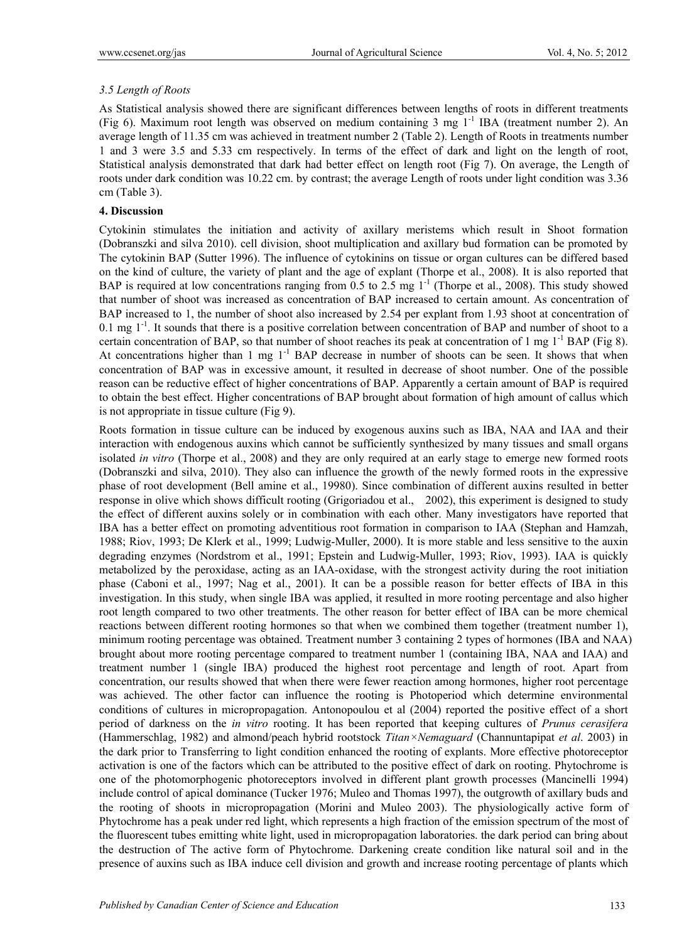# *3.5 Length of Roots*

As Statistical analysis showed there are significant differences between lengths of roots in different treatments (Fig 6). Maximum root length was observed on medium containing 3 mg  $1^{-1}$  IBA (treatment number 2). An average length of 11.35 cm was achieved in treatment number 2 (Table 2). Length of Roots in treatments number 1 and 3 were 3.5 and 5.33 cm respectively. In terms of the effect of dark and light on the length of root, Statistical analysis demonstrated that dark had better effect on length root (Fig 7). On average, the Length of roots under dark condition was 10.22 cm. by contrast; the average Length of roots under light condition was 3.36 cm (Table 3).

## **4. Discussion**

Cytokinin stimulates the initiation and activity of axillary meristems which result in Shoot formation (Dobranszki and silva 2010). cell division, shoot multiplication and axillary bud formation can be promoted by The cytokinin BAP (Sutter 1996). The influence of cytokinins on tissue or organ cultures can be differed based on the kind of culture, the variety of plant and the age of explant (Thorpe et al., 2008). It is also reported that BAP is required at low concentrations ranging from 0.5 to 2.5 mg  $1^{-1}$  (Thorpe et al., 2008). This study showed that number of shoot was increased as concentration of BAP increased to certain amount. As concentration of BAP increased to 1, the number of shoot also increased by 2.54 per explant from 1.93 shoot at concentration of 0.1 mg 1<sup>-1</sup>. It sounds that there is a positive correlation between concentration of BAP and number of shoot to a certain concentration of BAP, so that number of shoot reaches its peak at concentration of 1 mg  $1^{-1}$  BAP (Fig 8). At concentrations higher than 1 mg  $1<sup>-1</sup>$  BAP decrease in number of shoots can be seen. It shows that when concentration of BAP was in excessive amount, it resulted in decrease of shoot number. One of the possible reason can be reductive effect of higher concentrations of BAP. Apparently a certain amount of BAP is required to obtain the best effect. Higher concentrations of BAP brought about formation of high amount of callus which is not appropriate in tissue culture (Fig 9).

Roots formation in tissue culture can be induced by exogenous auxins such as IBA, NAA and IAA and their interaction with endogenous auxins which cannot be sufficiently synthesized by many tissues and small organs isolated *in vitro* (Thorpe et al., 2008) and they are only required at an early stage to emerge new formed roots (Dobranszki and silva, 2010). They also can influence the growth of the newly formed roots in the expressive phase of root development (Bell amine et al., 19980). Since combination of different auxins resulted in better response in olive which shows difficult rooting (Grigoriadou et al., 2002), this experiment is designed to study the effect of different auxins solely or in combination with each other. Many investigators have reported that IBA has a better effect on promoting adventitious root formation in comparison to IAA (Stephan and Hamzah, 1988; Riov, 1993; De Klerk et al., 1999; Ludwig-Muller, 2000). It is more stable and less sensitive to the auxin degrading enzymes (Nordstrom et al., 1991; Epstein and Ludwig-Muller, 1993; Riov, 1993). IAA is quickly metabolized by the peroxidase, acting as an IAA-oxidase, with the strongest activity during the root initiation phase (Caboni et al., 1997; Nag et al., 2001). It can be a possible reason for better effects of IBA in this investigation. In this study, when single IBA was applied, it resulted in more rooting percentage and also higher root length compared to two other treatments. The other reason for better effect of IBA can be more chemical reactions between different rooting hormones so that when we combined them together (treatment number 1), minimum rooting percentage was obtained. Treatment number 3 containing 2 types of hormones (IBA and NAA) brought about more rooting percentage compared to treatment number 1 (containing IBA, NAA and IAA) and treatment number 1 (single IBA) produced the highest root percentage and length of root. Apart from concentration, our results showed that when there were fewer reaction among hormones, higher root percentage was achieved. The other factor can influence the rooting is Photoperiod which determine environmental conditions of cultures in micropropagation. Antonopoulou et al (2004) reported the positive effect of a short period of darkness on the *in vitro* rooting. It has been reported that keeping cultures of *Prunus cerasifera*  (Hammerschlag, 1982) and almond/peach hybrid rootstock *Titan×Nemaguard* (Channuntapipat *et al*. 2003) in the dark prior to Transferring to light condition enhanced the rooting of explants. More effective photoreceptor activation is one of the factors which can be attributed to the positive effect of dark on rooting. Phytochrome is one of the photomorphogenic photoreceptors involved in different plant growth processes (Mancinelli 1994) include control of apical dominance (Tucker 1976; Muleo and Thomas 1997), the outgrowth of axillary buds and the rooting of shoots in micropropagation (Morini and Muleo 2003). The physiologically active form of Phytochrome has a peak under red light, which represents a high fraction of the emission spectrum of the most of the fluorescent tubes emitting white light, used in micropropagation laboratories. the dark period can bring about the destruction of The active form of Phytochrome. Darkening create condition like natural soil and in the presence of auxins such as IBA induce cell division and growth and increase rooting percentage of plants which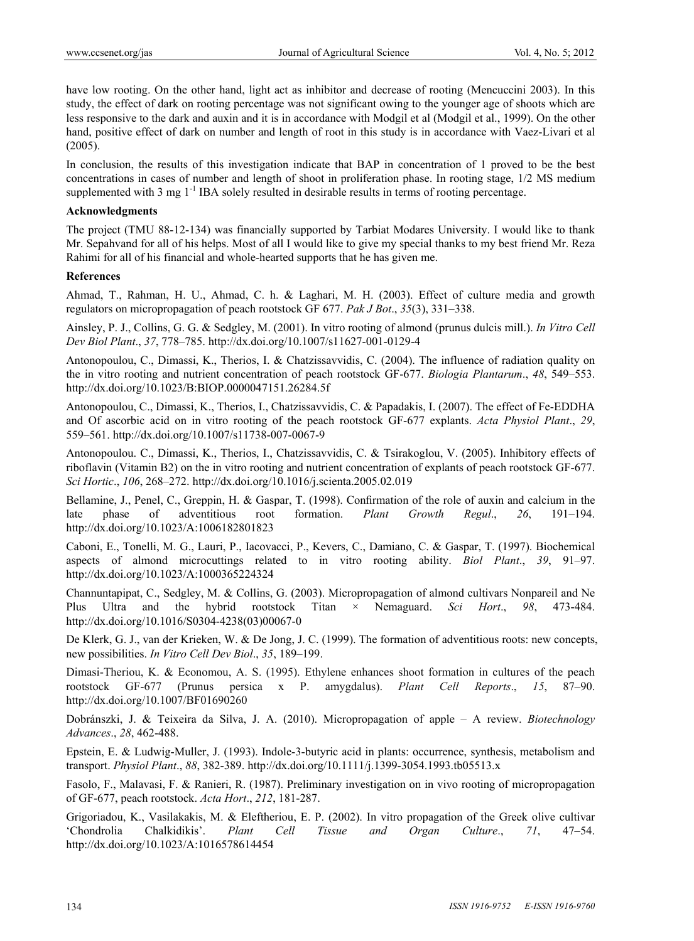have low rooting. On the other hand, light act as inhibitor and decrease of rooting (Mencuccini 2003). In this study, the effect of dark on rooting percentage was not significant owing to the younger age of shoots which are less responsive to the dark and auxin and it is in accordance with Modgil et al (Modgil et al., 1999). On the other hand, positive effect of dark on number and length of root in this study is in accordance with Vaez-Livari et al (2005).

In conclusion, the results of this investigation indicate that BAP in concentration of 1 proved to be the best concentrations in cases of number and length of shoot in proliferation phase. In rooting stage, 1/2 MS medium supplemented with 3 mg 1<sup>-1</sup> IBA solely resulted in desirable results in terms of rooting percentage.

#### **Acknowledgments**

The project (TMU 88-12-134) was financially supported by Tarbiat Modares University. I would like to thank Mr. Sepahvand for all of his helps. Most of all I would like to give my special thanks to my best friend Mr. Reza Rahimi for all of his financial and whole-hearted supports that he has given me.

#### **References**

Ahmad, T., Rahman, H. U., Ahmad, C. h. & Laghari, M. H. (2003). Effect of culture media and growth regulators on micropropagation of peach rootstock GF 677. *Pak J Bot*., *35*(3), 331–338.

Ainsley, P. J., Collins, G. G. & Sedgley, M. (2001). In vitro rooting of almond (prunus dulcis mill.). *In Vitro Cell Dev Biol Plant*., *37*, 778–785. http://dx.doi.org/10.1007/s11627-001-0129-4

Antonopoulou, C., Dimassi, K., Therios, I. & Chatzissavvidis, C. (2004). The influence of radiation quality on the in vitro rooting and nutrient concentration of peach rootstock GF-677. *Biologia Plantarum*., *48*, 549–553. http://dx.doi.org/10.1023/B:BIOP.0000047151.26284.5f

Antonopoulou, C., Dimassi, K., Therios, I., Chatzissavvidis, C. & Papadakis, I. (2007). The effect of Fe-EDDHA and Of ascorbic acid on in vitro rooting of the peach rootstock GF-677 explants. *Acta Physiol Plant*., *29*, 559–561. http://dx.doi.org/10.1007/s11738-007-0067-9

Antonopoulou. C., Dimassi, K., Therios, I., Chatzissavvidis, C. & Tsirakoglou, V. (2005). Inhibitory effects of riboflavin (Vitamin B2) on the in vitro rooting and nutrient concentration of explants of peach rootstock GF-677. *Sci Hortic*., *106*, 268–272. http://dx.doi.org/10.1016/j.scienta.2005.02.019

Bellamine, J., Penel, C., Greppin, H. & Gaspar, T. (1998). Confirmation of the role of auxin and calcium in the late phase of adventitious root formation. *Plant Growth Regul*., *26*, 191–194. http://dx.doi.org/10.1023/A:1006182801823

Caboni, E., Tonelli, M. G., Lauri, P., Iacovacci, P., Kevers, C., Damiano, C. & Gaspar, T. (1997). Biochemical aspects of almond microcuttings related to in vitro rooting ability. *Biol Plant*., *39*, 91–97. http://dx.doi.org/10.1023/A:1000365224324

Channuntapipat, C., Sedgley, M. & Collins, G. (2003). Micropropagation of almond cultivars Nonpareil and Ne Plus Ultra and the hybrid rootstock Titan × Nemaguard. *Sci Hort*., *98*, 473-484. http://dx.doi.org/10.1016/S0304-4238(03)00067-0

De Klerk, G. J., van der Krieken, W. & De Jong, J. C. (1999). The formation of adventitious roots: new concepts, new possibilities. *In Vitro Cell Dev Biol*., *35*, 189–199.

Dimasi-Theriou, K. & Economou, A. S. (1995). Ethylene enhances shoot formation in cultures of the peach rootstock GF-677 (Prunus persica x P. amygdalus). *Plant Cell Reports*., *15*, 87–90. http://dx.doi.org/10.1007/BF01690260

Dobránszki, J. & Teixeira da Silva, J. A. (2010). Micropropagation of apple – A review. *Biotechnology Advances*., *28*, 462-488.

Epstein, E. & Ludwig-Muller, J. (1993). Indole-3-butyric acid in plants: occurrence, synthesis, metabolism and transport. *Physiol Plant*., *88*, 382-389. http://dx.doi.org/10.1111/j.1399-3054.1993.tb05513.x

Fasolo, F., Malavasi, F. & Ranieri, R. (1987). Preliminary investigation on in vivo rooting of micropropagation of GF-677, peach rootstock. *Acta Hort*., *212*, 181-287.

Grigoriadou, K., Vasilakakis, M. & Eleftheriou, E. P. (2002). In vitro propagation of the Greek olive cultivar 'Chondrolia Chalkidikis'. *Plant Cell Tissue and Organ Culture*., *71*, 47–54. http://dx.doi.org/10.1023/A:1016578614454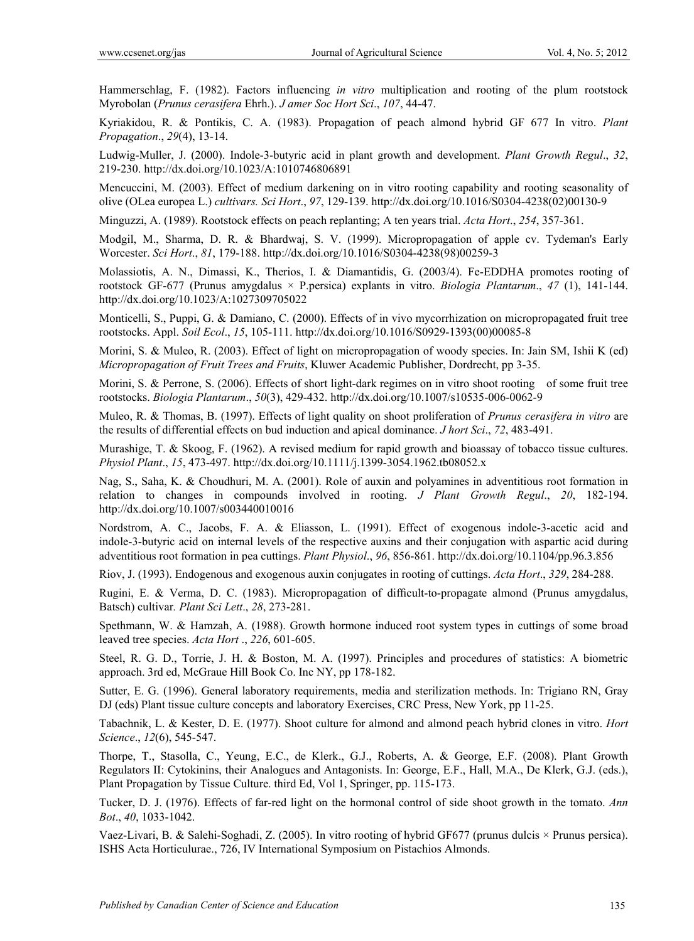Hammerschlag, F. (1982). Factors influencing *in vitro* multiplication and rooting of the plum rootstock Myrobolan (*Prunus cerasifera* Ehrh.). *J amer Soc Hort Sci*., *107*, 44-47.

Kyriakidou, R. & Pontikis, C. A. (1983). Propagation of peach almond hybrid GF 677 In vitro. *Plant Propagation*., *29*(4), 13-14.

Ludwig-Muller, J. (2000). Indole-3-butyric acid in plant growth and development. *Plant Growth Regul*., *32*, 219-230. http://dx.doi.org/10.1023/A:1010746806891

Mencuccini, M. (2003). Effect of medium darkening on in vitro rooting capability and rooting seasonality of olive (OLea europea L.) *cultivars. Sci Hort*., *97*, 129-139. http://dx.doi.org/10.1016/S0304-4238(02)00130-9

Minguzzi, A. (1989). Rootstock effects on peach replanting; A ten years trial. *Acta Hort*., *254*, 357-361.

Modgil, M., Sharma, D. R. & Bhardwaj, S. V. (1999). Micropropagation of apple cv. Tydeman's Early Worcester. *Sci Hort*., *81*, 179-188. http://dx.doi.org/10.1016/S0304-4238(98)00259-3

Molassiotis, A. N., Dimassi, K., Therios, I. & Diamantidis, G. (2003/4). Fe-EDDHA promotes rooting of rootstock GF-677 (Prunus amygdalus × P.persica) explants in vitro. *Biologia Plantarum*., *47* (1), 141-144. http://dx.doi.org/10.1023/A:1027309705022

Monticelli, S., Puppi, G. & Damiano, C. (2000). Effects of in vivo mycorrhization on micropropagated fruit tree rootstocks. Appl. *Soil Ecol*., *15*, 105-111. http://dx.doi.org/10.1016/S0929-1393(00)00085-8

Morini, S. & Muleo, R. (2003). Effect of light on micropropagation of woody species. In: Jain SM, Ishii K (ed) *Micropropagation of Fruit Trees and Fruits*, Kluwer Academic Publisher, Dordrecht, pp 3-35.

Morini, S. & Perrone, S. (2006). Effects of short light-dark regimes on in vitro shoot rooting of some fruit tree rootstocks. *Biologia Plantarum*., *50*(3), 429-432. http://dx.doi.org/10.1007/s10535-006-0062-9

Muleo, R. & Thomas, B. (1997). Effects of light quality on shoot proliferation of *Prunus cerasifera in vitro* are the results of differential effects on bud induction and apical dominance. *J hort Sci*., *72*, 483-491.

Murashige, T. & Skoog, F. (1962). A revised medium for rapid growth and bioassay of tobacco tissue cultures. *Physiol Plant*., *15*, 473-497. http://dx.doi.org/10.1111/j.1399-3054.1962.tb08052.x

Nag, S., Saha, K. & Choudhuri, M. A. (2001). Role of auxin and polyamines in adventitious root formation in relation to changes in compounds involved in rooting. *J Plant Growth Regul*., *20*, 182-194. http://dx.doi.org/10.1007/s003440010016

Nordstrom, A. C., Jacobs, F. A. & Eliasson, L. (1991). Effect of exogenous indole-3-acetic acid and indole-3-butyric acid on internal levels of the respective auxins and their conjugation with aspartic acid during adventitious root formation in pea cuttings. *Plant Physiol*., *96*, 856-861. http://dx.doi.org/10.1104/pp.96.3.856

Riov, J. (1993). Endogenous and exogenous auxin conjugates in rooting of cuttings. *Acta Hort*., *329*, 284-288.

Rugini, E. & Verma, D. C. (1983). Micropropagation of difficult-to-propagate almond (Prunus amygdalus, Batsch) cultivar*. Plant Sci Lett*., *28*, 273-281.

Spethmann, W. & Hamzah, A. (1988). Growth hormone induced root system types in cuttings of some broad leaved tree species. *Acta Hort* ., *226*, 601-605.

Steel, R. G. D., Torrie, J. H. & Boston, M. A. (1997). Principles and procedures of statistics: A biometric approach. 3rd ed, McGraue Hill Book Co. Inc NY, pp 178-182.

Sutter, E. G. (1996). General laboratory requirements, media and sterilization methods. In: Trigiano RN, Gray DJ (eds) Plant tissue culture concepts and laboratory Exercises, CRC Press, New York, pp 11-25.

Tabachnik, L. & Kester, D. E. (1977). Shoot culture for almond and almond peach hybrid clones in vitro. *Hort Science*., *12*(6), 545-547.

Thorpe, T., Stasolla, C., Yeung, E.C., de Klerk., G.J., Roberts, A. & George, E.F. (2008). Plant Growth Regulators II: Cytokinins, their Analogues and Antagonists. In: George, E.F., Hall, M.A., De Klerk, G.J. (eds.), Plant Propagation by Tissue Culture. third Ed, Vol 1, Springer, pp. 115-173.

Tucker, D. J. (1976). Effects of far-red light on the hormonal control of side shoot growth in the tomato. *Ann Bot*., *40*, 1033-1042.

Vaez-Livari, B. & Salehi-Soghadi, Z. (2005). In vitro rooting of hybrid GF677 (prunus dulcis × Prunus persica). ISHS Acta Horticulurae., 726, IV International Symposium on Pistachios Almonds.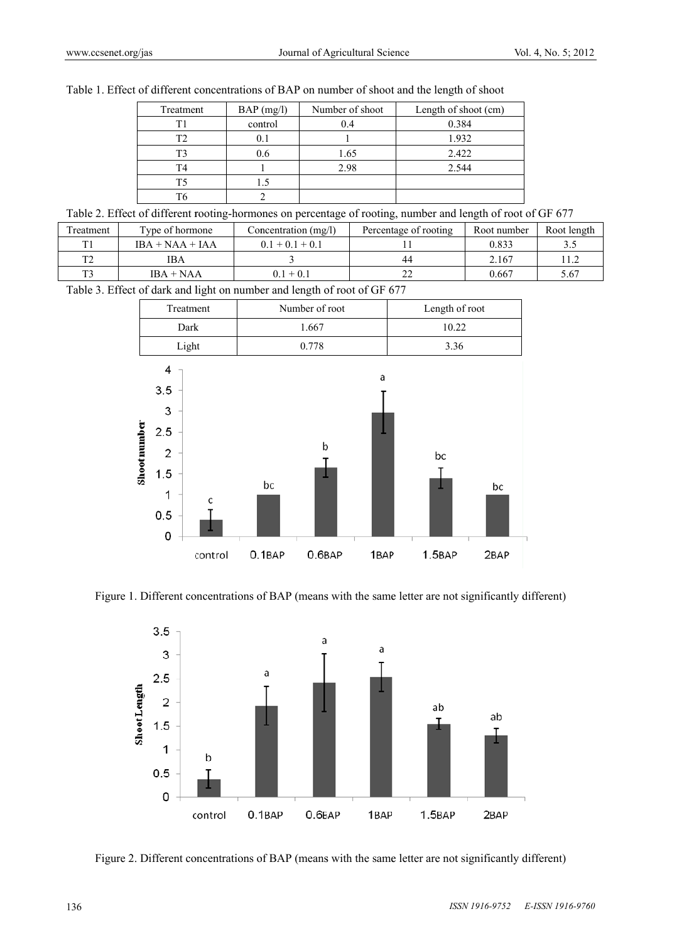| Treatment | $BAP$ (mg/l) | Number of shoot | Length of shoot (cm) |
|-----------|--------------|-----------------|----------------------|
|           | control      | 0.4             | 0.384                |
| T2        | U.I          |                 | 1.932                |
| T?        | 0.6          | 1.65            | 2.422                |
| T4        |              | 2.98            | 2.544                |
| T5        |              |                 |                      |
|           |              |                 |                      |

|  | Table 1. Effect of different concentrations of BAP on number of shoot and the length of shoot |  |  |  |
|--|-----------------------------------------------------------------------------------------------|--|--|--|
|  |                                                                                               |  |  |  |

Table 2. Effect of different rooting-hormones on percentage of rooting, number and length of root of GF 677

| Treatment | Type of hormone   | Concentration (mg/l) | Percentage of rooting | Root number | Root length |
|-----------|-------------------|----------------------|-----------------------|-------------|-------------|
|           | $IBA + NAA + IAA$ | $0.1 + 0.1 + 0.1$    |                       | 0.833       | 3.5         |
|           | IΒA               |                      | 44                    | 2.167       |             |
| ጥኅ        | $IBA + NAA$       | $0.1\pm0.1$          | ∸                     | 0.667       | 5.67        |

Table 3. Effect of dark and light on number and length of root of GF 677





Figure 1. Different concentrations of BAP (means with the same letter are not significantly different)



Figure 2. Different concentrations of BAP (means with the same letter are not significantly different)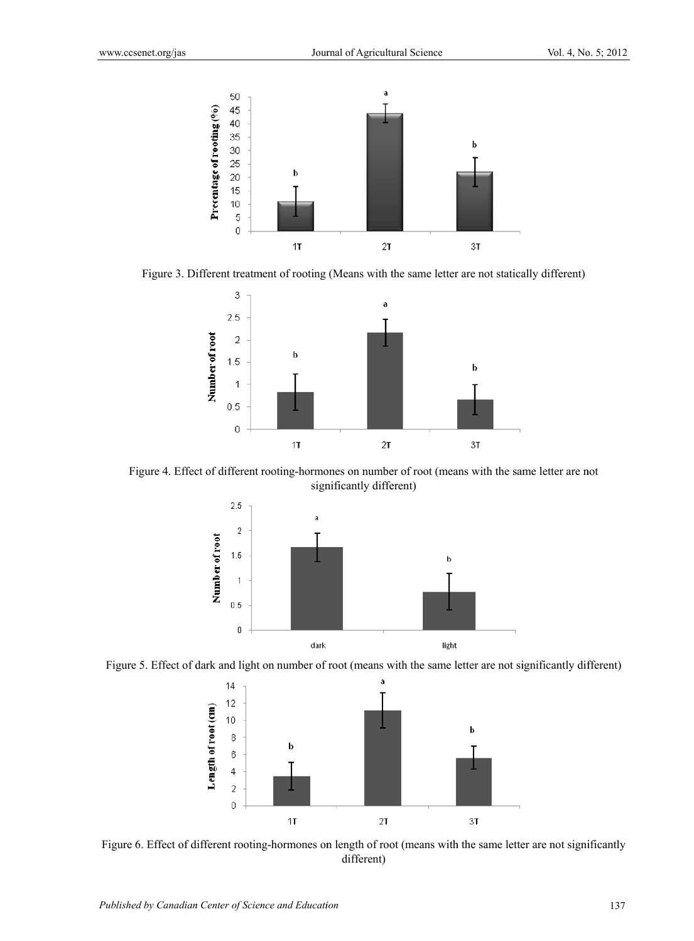

Figure 3. Different treatment of rooting (Means with the same letter are not statically different)



Figure 4. Effect of different rooting-hormones on number of root (means with the same letter are not significantly different)



Figure 5. Effect of dark and light on number of root (means with the same letter are not significantly different)



Figure 6. Effect of different rooting-hormones on length of root (means with the same letter are not significantly different)